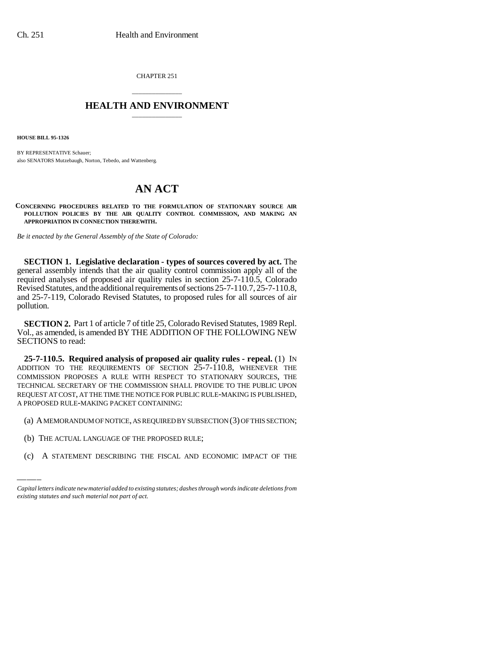CHAPTER 251

## \_\_\_\_\_\_\_\_\_\_\_\_\_\_\_ **HEALTH AND ENVIRONMENT** \_\_\_\_\_\_\_\_\_\_\_\_\_\_\_

**HOUSE BILL 95-1326**

BY REPRESENTATIVE Schauer; also SENATORS Mutzebaugh, Norton, Tebedo, and Wattenberg.

## **AN ACT**

**CONCERNING PROCEDURES RELATED TO THE FORMULATION OF STATIONARY SOURCE AIR POLLUTION POLICIES BY THE AIR QUALITY CONTROL COMMISSION, AND MAKING AN APPROPRIATION IN CONNECTION THEREWITH.**

*Be it enacted by the General Assembly of the State of Colorado:*

**SECTION 1. Legislative declaration - types of sources covered by act.** The general assembly intends that the air quality control commission apply all of the required analyses of proposed air quality rules in section 25-7-110.5, Colorado Revised Statutes, and the additional requirements of sections 25-7-110.7, 25-7-110.8, and 25-7-119, Colorado Revised Statutes, to proposed rules for all sources of air pollution.

**SECTION 2.** Part 1 of article 7 of title 25, Colorado Revised Statutes, 1989 Repl. Vol., as amended, is amended BY THE ADDITION OF THE FOLLOWING NEW SECTIONS to read:

**25-7-110.5. Required analysis of proposed air quality rules - repeal.** (1) IN ADDITION TO THE REQUIREMENTS OF SECTION 25-7-110.8, WHENEVER THE COMMISSION PROPOSES A RULE WITH RESPECT TO STATIONARY SOURCES, THE TECHNICAL SECRETARY OF THE COMMISSION SHALL PROVIDE TO THE PUBLIC UPON REQUEST AT COST, AT THE TIME THE NOTICE FOR PUBLIC RULE-MAKING IS PUBLISHED, A PROPOSED RULE-MAKING PACKET CONTAINING:

(a) A MEMORANDUM OF NOTICE, AS REQUIRED BY SUBSECTION (3) OF THIS SECTION;

- (b) THE ACTUAL LANGUAGE OF THE PROPOSED RULE;
- (c) A STATEMENT DESCRIBING THE FISCAL AND ECONOMIC IMPACT OF THE

*Capital letters indicate new material added to existing statutes; dashes through words indicate deletions from existing statutes and such material not part of act.*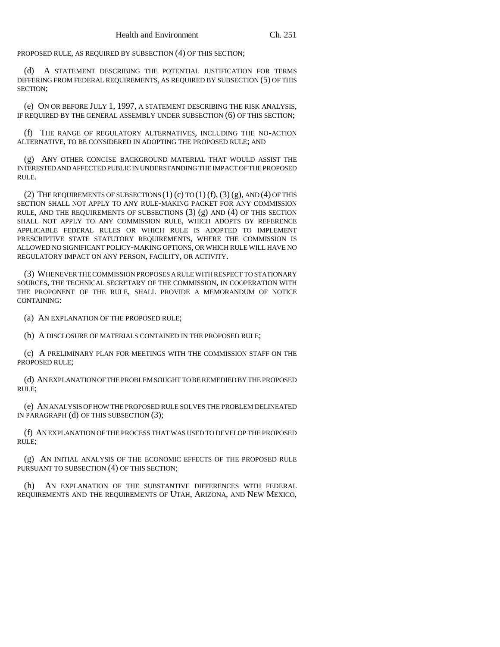PROPOSED RULE, AS REQUIRED BY SUBSECTION (4) OF THIS SECTION;

A STATEMENT DESCRIBING THE POTENTIAL JUSTIFICATION FOR TERMS DIFFERING FROM FEDERAL REQUIREMENTS, AS REQUIRED BY SUBSECTION (5) OF THIS SECTION;

(e) ON OR BEFORE JULY 1, 1997, A STATEMENT DESCRIBING THE RISK ANALYSIS, IF REQUIRED BY THE GENERAL ASSEMBLY UNDER SUBSECTION (6) OF THIS SECTION;

(f) THE RANGE OF REGULATORY ALTERNATIVES, INCLUDING THE NO-ACTION ALTERNATIVE, TO BE CONSIDERED IN ADOPTING THE PROPOSED RULE; AND

(g) ANY OTHER CONCISE BACKGROUND MATERIAL THAT WOULD ASSIST THE INTERESTED AND AFFECTED PUBLIC IN UNDERSTANDING THE IMPACT OF THE PROPOSED RULE.

(2) THE REQUIREMENTS OF SUBSECTIONS  $(1)$  (c) TO  $(1)$  (f),  $(3)$  (g), AND  $(4)$  OF THIS SECTION SHALL NOT APPLY TO ANY RULE-MAKING PACKET FOR ANY COMMISSION RULE, AND THE REQUIREMENTS OF SUBSECTIONS  $(3)$   $(g)$  AND  $(4)$  OF THIS SECTION SHALL NOT APPLY TO ANY COMMISSION RULE, WHICH ADOPTS BY REFERENCE APPLICABLE FEDERAL RULES OR WHICH RULE IS ADOPTED TO IMPLEMENT PRESCRIPTIVE STATE STATUTORY REQUIREMENTS, WHERE THE COMMISSION IS ALLOWED NO SIGNIFICANT POLICY-MAKING OPTIONS, OR WHICH RULE WILL HAVE NO REGULATORY IMPACT ON ANY PERSON, FACILITY, OR ACTIVITY.

(3) WHENEVER THE COMMISSION PROPOSES A RULE WITH RESPECT TO STATIONARY SOURCES, THE TECHNICAL SECRETARY OF THE COMMISSION, IN COOPERATION WITH THE PROPONENT OF THE RULE, SHALL PROVIDE A MEMORANDUM OF NOTICE CONTAINING:

(a) AN EXPLANATION OF THE PROPOSED RULE;

(b) A DISCLOSURE OF MATERIALS CONTAINED IN THE PROPOSED RULE;

(c) A PRELIMINARY PLAN FOR MEETINGS WITH THE COMMISSION STAFF ON THE PROPOSED RULE;

(d) AN EXPLANATION OF THE PROBLEM SOUGHT TO BE REMEDIED BY THE PROPOSED RULE;

(e) AN ANALYSIS OF HOW THE PROPOSED RULE SOLVES THE PROBLEM DELINEATED IN PARAGRAPH (d) OF THIS SUBSECTION (3);

(f) AN EXPLANATION OF THE PROCESS THAT WAS USED TO DEVELOP THE PROPOSED RULE;

(g) AN INITIAL ANALYSIS OF THE ECONOMIC EFFECTS OF THE PROPOSED RULE PURSUANT TO SUBSECTION (4) OF THIS SECTION;

(h) AN EXPLANATION OF THE SUBSTANTIVE DIFFERENCES WITH FEDERAL REQUIREMENTS AND THE REQUIREMENTS OF UTAH, ARIZONA, AND NEW MEXICO,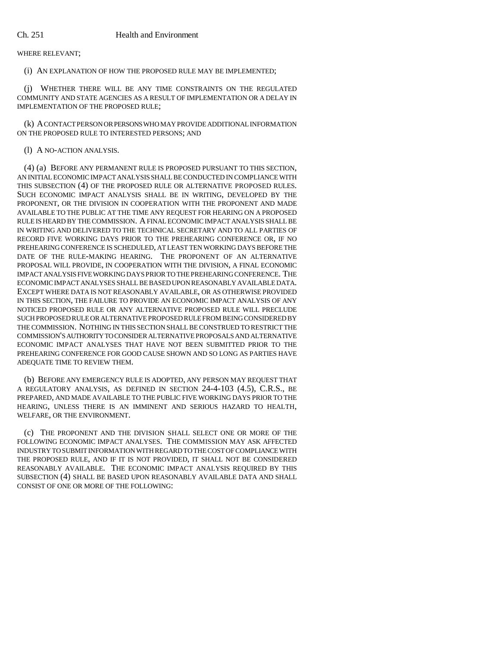WHERE RELEVANT;

(i) AN EXPLANATION OF HOW THE PROPOSED RULE MAY BE IMPLEMENTED;

(j) WHETHER THERE WILL BE ANY TIME CONSTRAINTS ON THE REGULATED COMMUNITY AND STATE AGENCIES AS A RESULT OF IMPLEMENTATION OR A DELAY IN IMPLEMENTATION OF THE PROPOSED RULE;

(k) A CONTACT PERSON OR PERSONS WHO MAY PROVIDE ADDITIONAL INFORMATION ON THE PROPOSED RULE TO INTERESTED PERSONS; AND

## (l) A NO-ACTION ANALYSIS.

(4) (a) BEFORE ANY PERMANENT RULE IS PROPOSED PURSUANT TO THIS SECTION, AN INITIAL ECONOMIC IMPACT ANALYSIS SHALL BE CONDUCTED IN COMPLIANCE WITH THIS SUBSECTION (4) OF THE PROPOSED RULE OR ALTERNATIVE PROPOSED RULES. SUCH ECONOMIC IMPACT ANALYSIS SHALL BE IN WRITING, DEVELOPED BY THE PROPONENT, OR THE DIVISION IN COOPERATION WITH THE PROPONENT AND MADE AVAILABLE TO THE PUBLIC AT THE TIME ANY REQUEST FOR HEARING ON A PROPOSED RULE IS HEARD BY THE COMMISSION. A FINAL ECONOMIC IMPACT ANALYSIS SHALL BE IN WRITING AND DELIVERED TO THE TECHNICAL SECRETARY AND TO ALL PARTIES OF RECORD FIVE WORKING DAYS PRIOR TO THE PREHEARING CONFERENCE OR, IF NO PREHEARING CONFERENCE IS SCHEDULED, AT LEAST TEN WORKING DAYS BEFORE THE DATE OF THE RULE-MAKING HEARING. THE PROPONENT OF AN ALTERNATIVE PROPOSAL WILL PROVIDE, IN COOPERATION WITH THE DIVISION, A FINAL ECONOMIC IMPACT ANALYSIS FIVE WORKING DAYS PRIOR TO THE PREHEARING CONFERENCE. THE ECONOMIC IMPACT ANALYSES SHALL BE BASED UPON REASONABLY AVAILABLE DATA. EXCEPT WHERE DATA IS NOT REASONABLY AVAILABLE, OR AS OTHERWISE PROVIDED IN THIS SECTION, THE FAILURE TO PROVIDE AN ECONOMIC IMPACT ANALYSIS OF ANY NOTICED PROPOSED RULE OR ANY ALTERNATIVE PROPOSED RULE WILL PRECLUDE SUCH PROPOSED RULE OR ALTERNATIVE PROPOSED RULE FROM BEING CONSIDERED BY THE COMMISSION. NOTHING IN THIS SECTION SHALL BE CONSTRUED TO RESTRICT THE COMMISSION'S AUTHORITY TO CONSIDER ALTERNATIVE PROPOSALS AND ALTERNATIVE ECONOMIC IMPACT ANALYSES THAT HAVE NOT BEEN SUBMITTED PRIOR TO THE PREHEARING CONFERENCE FOR GOOD CAUSE SHOWN AND SO LONG AS PARTIES HAVE ADEQUATE TIME TO REVIEW THEM.

(b) BEFORE ANY EMERGENCY RULE IS ADOPTED, ANY PERSON MAY REQUEST THAT A REGULATORY ANALYSIS, AS DEFINED IN SECTION 24-4-103 (4.5), C.R.S., BE PREPARED, AND MADE AVAILABLE TO THE PUBLIC FIVE WORKING DAYS PRIOR TO THE HEARING, UNLESS THERE IS AN IMMINENT AND SERIOUS HAZARD TO HEALTH, WELFARE, OR THE ENVIRONMENT.

(c) THE PROPONENT AND THE DIVISION SHALL SELECT ONE OR MORE OF THE FOLLOWING ECONOMIC IMPACT ANALYSES. THE COMMISSION MAY ASK AFFECTED INDUSTRY TO SUBMIT INFORMATION WITH REGARD TO THE COST OF COMPLIANCE WITH THE PROPOSED RULE, AND IF IT IS NOT PROVIDED, IT SHALL NOT BE CONSIDERED REASONABLY AVAILABLE. THE ECONOMIC IMPACT ANALYSIS REQUIRED BY THIS SUBSECTION (4) SHALL BE BASED UPON REASONABLY AVAILABLE DATA AND SHALL CONSIST OF ONE OR MORE OF THE FOLLOWING: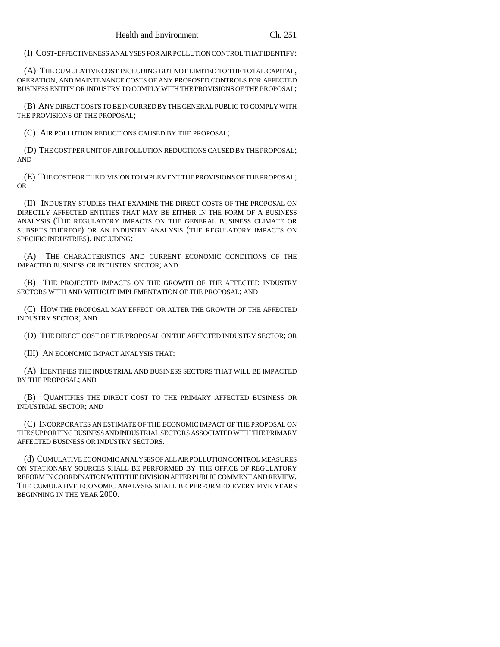(I) COST-EFFECTIVENESS ANALYSES FOR AIR POLLUTION CONTROL THAT IDENTIFY:

(A) THE CUMULATIVE COST INCLUDING BUT NOT LIMITED TO THE TOTAL CAPITAL, OPERATION, AND MAINTENANCE COSTS OF ANY PROPOSED CONTROLS FOR AFFECTED BUSINESS ENTITY OR INDUSTRY TO COMPLY WITH THE PROVISIONS OF THE PROPOSAL;

(B) ANY DIRECT COSTS TO BE INCURRED BY THE GENERAL PUBLIC TO COMPLY WITH THE PROVISIONS OF THE PROPOSAL;

(C) AIR POLLUTION REDUCTIONS CAUSED BY THE PROPOSAL;

(D) THE COST PER UNIT OF AIR POLLUTION REDUCTIONS CAUSED BY THE PROPOSAL; AND

(E) THE COST FOR THE DIVISION TO IMPLEMENT THE PROVISIONS OF THE PROPOSAL; OR

(II) INDUSTRY STUDIES THAT EXAMINE THE DIRECT COSTS OF THE PROPOSAL ON DIRECTLY AFFECTED ENTITIES THAT MAY BE EITHER IN THE FORM OF A BUSINESS ANALYSIS (THE REGULATORY IMPACTS ON THE GENERAL BUSINESS CLIMATE OR SUBSETS THEREOF) OR AN INDUSTRY ANALYSIS (THE REGULATORY IMPACTS ON SPECIFIC INDUSTRIES), INCLUDING:

(A) THE CHARACTERISTICS AND CURRENT ECONOMIC CONDITIONS OF THE IMPACTED BUSINESS OR INDUSTRY SECTOR; AND

(B) THE PROJECTED IMPACTS ON THE GROWTH OF THE AFFECTED INDUSTRY SECTORS WITH AND WITHOUT IMPLEMENTATION OF THE PROPOSAL; AND

(C) HOW THE PROPOSAL MAY EFFECT OR ALTER THE GROWTH OF THE AFFECTED INDUSTRY SECTOR; AND

(D) THE DIRECT COST OF THE PROPOSAL ON THE AFFECTED INDUSTRY SECTOR; OR

(III) AN ECONOMIC IMPACT ANALYSIS THAT:

(A) IDENTIFIES THE INDUSTRIAL AND BUSINESS SECTORS THAT WILL BE IMPACTED BY THE PROPOSAL; AND

(B) QUANTIFIES THE DIRECT COST TO THE PRIMARY AFFECTED BUSINESS OR INDUSTRIAL SECTOR; AND

(C) INCORPORATES AN ESTIMATE OF THE ECONOMIC IMPACT OF THE PROPOSAL ON THE SUPPORTING BUSINESS AND INDUSTRIAL SECTORS ASSOCIATED WITH THE PRIMARY AFFECTED BUSINESS OR INDUSTRY SECTORS.

(d) CUMULATIVE ECONOMIC ANALYSES OF ALL AIR POLLUTION CONTROL MEASURES ON STATIONARY SOURCES SHALL BE PERFORMED BY THE OFFICE OF REGULATORY REFORM IN COORDINATION WITH THE DIVISION AFTER PUBLIC COMMENT AND REVIEW. THE CUMULATIVE ECONOMIC ANALYSES SHALL BE PERFORMED EVERY FIVE YEARS BEGINNING IN THE YEAR 2000.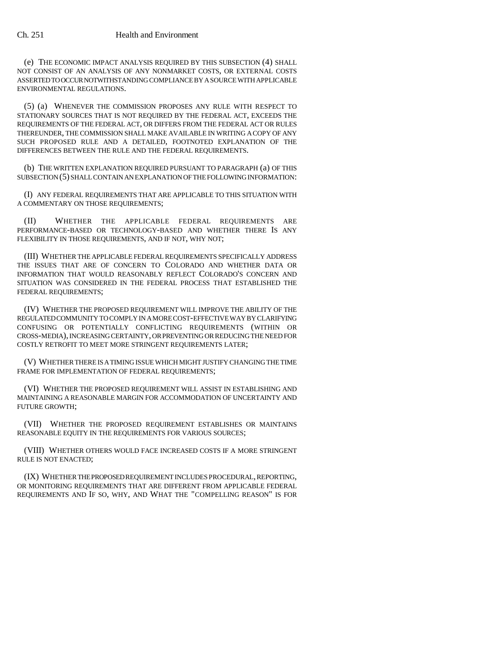(e) THE ECONOMIC IMPACT ANALYSIS REQUIRED BY THIS SUBSECTION (4) SHALL NOT CONSIST OF AN ANALYSIS OF ANY NONMARKET COSTS, OR EXTERNAL COSTS ASSERTED TO OCCUR NOTWITHSTANDING COMPLIANCE BY A SOURCE WITH APPLICABLE ENVIRONMENTAL REGULATIONS.

(5) (a) WHENEVER THE COMMISSION PROPOSES ANY RULE WITH RESPECT TO STATIONARY SOURCES THAT IS NOT REQUIRED BY THE FEDERAL ACT, EXCEEDS THE REQUIREMENTS OF THE FEDERAL ACT, OR DIFFERS FROM THE FEDERAL ACT OR RULES THEREUNDER, THE COMMISSION SHALL MAKE AVAILABLE IN WRITING A COPY OF ANY SUCH PROPOSED RULE AND A DETAILED, FOOTNOTED EXPLANATION OF THE DIFFERENCES BETWEEN THE RULE AND THE FEDERAL REQUIREMENTS.

(b) THE WRITTEN EXPLANATION REQUIRED PURSUANT TO PARAGRAPH (a) OF THIS SUBSECTION (5) SHALL CONTAIN AN EXPLANATION OF THE FOLLOWING INFORMATION:

(I) ANY FEDERAL REQUIREMENTS THAT ARE APPLICABLE TO THIS SITUATION WITH A COMMENTARY ON THOSE REQUIREMENTS;

(II) WHETHER THE APPLICABLE FEDERAL REQUIREMENTS ARE PERFORMANCE-BASED OR TECHNOLOGY-BASED AND WHETHER THERE IS ANY FLEXIBILITY IN THOSE REQUIREMENTS, AND IF NOT, WHY NOT;

(III) WHETHER THE APPLICABLE FEDERAL REQUIREMENTS SPECIFICALLY ADDRESS THE ISSUES THAT ARE OF CONCERN TO COLORADO AND WHETHER DATA OR INFORMATION THAT WOULD REASONABLY REFLECT COLORADO'S CONCERN AND SITUATION WAS CONSIDERED IN THE FEDERAL PROCESS THAT ESTABLISHED THE FEDERAL REQUIREMENTS;

(IV) WHETHER THE PROPOSED REQUIREMENT WILL IMPROVE THE ABILITY OF THE REGULATED COMMUNITY TO COMPLY IN A MORE COST-EFFECTIVE WAY BY CLARIFYING CONFUSING OR POTENTIALLY CONFLICTING REQUIREMENTS (WITHIN OR CROSS-MEDIA), INCREASING CERTAINTY, OR PREVENTING OR REDUCING THE NEED FOR COSTLY RETROFIT TO MEET MORE STRINGENT REQUIREMENTS LATER;

(V) WHETHER THERE IS A TIMING ISSUE WHICH MIGHT JUSTIFY CHANGING THE TIME FRAME FOR IMPLEMENTATION OF FEDERAL REQUIREMENTS:

(VI) WHETHER THE PROPOSED REQUIREMENT WILL ASSIST IN ESTABLISHING AND MAINTAINING A REASONABLE MARGIN FOR ACCOMMODATION OF UNCERTAINTY AND FUTURE GROWTH;

(VII) WHETHER THE PROPOSED REQUIREMENT ESTABLISHES OR MAINTAINS REASONABLE EQUITY IN THE REQUIREMENTS FOR VARIOUS SOURCES;

(VIII) WHETHER OTHERS WOULD FACE INCREASED COSTS IF A MORE STRINGENT RULE IS NOT ENACTED;

(IX) WHETHER THE PROPOSED REQUIREMENT INCLUDES PROCEDURAL, REPORTING, OR MONITORING REQUIREMENTS THAT ARE DIFFERENT FROM APPLICABLE FEDERAL REQUIREMENTS AND IF SO, WHY, AND WHAT THE "COMPELLING REASON" IS FOR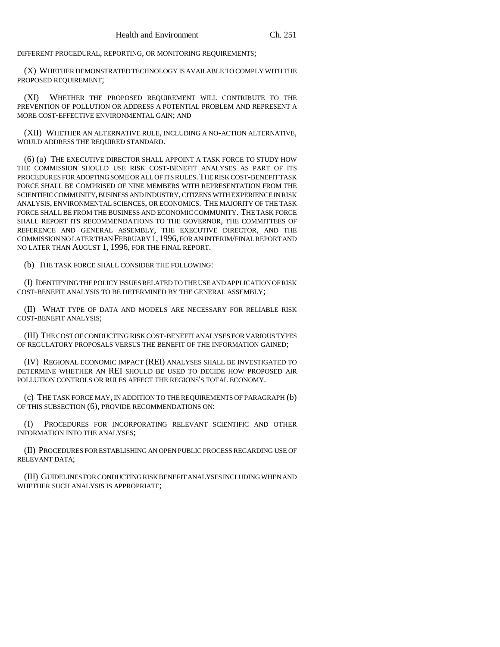DIFFERENT PROCEDURAL, REPORTING, OR MONITORING REQUIREMENTS;

(X) WHETHER DEMONSTRATED TECHNOLOGY IS AVAILABLE TO COMPLY WITH THE PROPOSED REQUIREMENT;

(XI) WHETHER THE PROPOSED REQUIREMENT WILL CONTRIBUTE TO THE PREVENTION OF POLLUTION OR ADDRESS A POTENTIAL PROBLEM AND REPRESENT A MORE COST-EFFECTIVE ENVIRONMENTAL GAIN; AND

(XII) WHETHER AN ALTERNATIVE RULE, INCLUDING A NO-ACTION ALTERNATIVE, WOULD ADDRESS THE REQUIRED STANDARD.

(6) (a) THE EXECUTIVE DIRECTOR SHALL APPOINT A TASK FORCE TO STUDY HOW THE COMMISSION SHOULD USE RISK COST-BENEFIT ANALYSES AS PART OF ITS PROCEDURES FOR ADOPTING SOME OR ALL OF ITS RULES.THE RISK COST-BENEFIT TASK FORCE SHALL BE COMPRISED OF NINE MEMBERS WITH REPRESENTATION FROM THE SCIENTIFIC COMMUNITY, BUSINESS AND INDUSTRY, CITIZENS WITH EXPERIENCE IN RISK ANALYSIS, ENVIRONMENTAL SCIENCES, OR ECONOMICS. THE MAJORITY OF THE TASK FORCE SHALL BE FROM THE BUSINESS AND ECONOMIC COMMUNITY. THE TASK FORCE SHALL REPORT ITS RECOMMENDATIONS TO THE GOVERNOR, THE COMMITTEES OF REFERENCE AND GENERAL ASSEMBLY, THE EXECUTIVE DIRECTOR, AND THE COMMISSION NO LATER THAN FEBRUARY 1,1996, FOR AN INTERIM/FINAL REPORT AND NO LATER THAN AUGUST 1, 1996, FOR THE FINAL REPORT.

(b) THE TASK FORCE SHALL CONSIDER THE FOLLOWING:

(I) IDENTIFYING THE POLICY ISSUES RELATED TO THE USE AND APPLICATION OF RISK COST-BENEFIT ANALYSIS TO BE DETERMINED BY THE GENERAL ASSEMBLY;

(II) WHAT TYPE OF DATA AND MODELS ARE NECESSARY FOR RELIABLE RISK COST-BENEFIT ANALYSIS;

(III) THE COST OF CONDUCTING RISK COST-BENEFIT ANALYSES FOR VARIOUS TYPES OF REGULATORY PROPOSALS VERSUS THE BENEFIT OF THE INFORMATION GAINED;

(IV) REGIONAL ECONOMIC IMPACT (REI) ANALYSES SHALL BE INVESTIGATED TO DETERMINE WHETHER AN REI SHOULD BE USED TO DECIDE HOW PROPOSED AIR POLLUTION CONTROLS OR RULES AFFECT THE REGIONS'S TOTAL ECONOMY.

(c) THE TASK FORCE MAY, IN ADDITION TO THE REQUIREMENTS OF PARAGRAPH (b) OF THIS SUBSECTION (6), PROVIDE RECOMMENDATIONS ON:

(I) PROCEDURES FOR INCORPORATING RELEVANT SCIENTIFIC AND OTHER INFORMATION INTO THE ANALYSES;

(II) PROCEDURES FOR ESTABLISHING AN OPEN PUBLIC PROCESS REGARDING USE OF RELEVANT DATA;

(III) GUIDELINES FOR CONDUCTING RISK BENEFIT ANALYSES INCLUDING WHEN AND WHETHER SUCH ANALYSIS IS APPROPRIATE;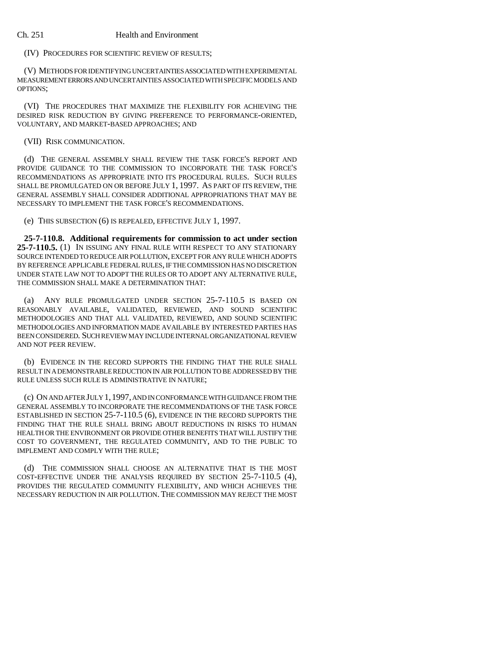## Ch. 251 Health and Environment

(IV) PROCEDURES FOR SCIENTIFIC REVIEW OF RESULTS;

(V) METHODS FOR IDENTIFYING UNCERTAINTIES ASSOCIATED WITH EXPERIMENTAL MEASUREMENT ERRORS AND UNCERTAINTIES ASSOCIATED WITH SPECIFIC MODELS AND OPTIONS;

(VI) THE PROCEDURES THAT MAXIMIZE THE FLEXIBILITY FOR ACHIEVING THE DESIRED RISK REDUCTION BY GIVING PREFERENCE TO PERFORMANCE-ORIENTED, VOLUNTARY, AND MARKET-BASED APPROACHES; AND

(VII) RISK COMMUNICATION.

(d) THE GENERAL ASSEMBLY SHALL REVIEW THE TASK FORCE'S REPORT AND PROVIDE GUIDANCE TO THE COMMISSION TO INCORPORATE THE TASK FORCE'S RECOMMENDATIONS AS APPROPRIATE INTO ITS PROCEDURAL RULES. SUCH RULES SHALL BE PROMULGATED ON OR BEFORE JULY 1, 1997. AS PART OF ITS REVIEW, THE GENERAL ASSEMBLY SHALL CONSIDER ADDITIONAL APPROPRIATIONS THAT MAY BE NECESSARY TO IMPLEMENT THE TASK FORCE'S RECOMMENDATIONS.

(e) THIS SUBSECTION (6) IS REPEALED, EFFECTIVE JULY 1, 1997.

**25-7-110.8. Additional requirements for commission to act under section 25-7-110.5.** (1) IN ISSUING ANY FINAL RULE WITH RESPECT TO ANY STATIONARY SOURCE INTENDED TO REDUCE AIR POLLUTION, EXCEPT FOR ANY RULE WHICH ADOPTS BY REFERENCE APPLICABLE FEDERAL RULES, IF THE COMMISSION HAS NO DISCRETION UNDER STATE LAW NOT TO ADOPT THE RULES OR TO ADOPT ANY ALTERNATIVE RULE, THE COMMISSION SHALL MAKE A DETERMINATION THAT:

(a) ANY RULE PROMULGATED UNDER SECTION 25-7-110.5 IS BASED ON REASONABLY AVAILABLE, VALIDATED, REVIEWED, AND SOUND SCIENTIFIC METHODOLOGIES AND THAT ALL VALIDATED, REVIEWED, AND SOUND SCIENTIFIC METHODOLOGIES AND INFORMATION MADE AVAILABLE BY INTERESTED PARTIES HAS BEEN CONSIDERED. SUCH REVIEW MAY INCLUDE INTERNAL ORGANIZATIONAL REVIEW AND NOT PEER REVIEW.

(b) EVIDENCE IN THE RECORD SUPPORTS THE FINDING THAT THE RULE SHALL RESULT IN A DEMONSTRABLE REDUCTION IN AIR POLLUTION TO BE ADDRESSED BY THE RULE UNLESS SUCH RULE IS ADMINISTRATIVE IN NATURE;

(c) ON AND AFTER JULY 1,1997, AND IN CONFORMANCE WITH GUIDANCE FROM THE GENERAL ASSEMBLY TO INCORPORATE THE RECOMMENDATIONS OF THE TASK FORCE ESTABLISHED IN SECTION 25-7-110.5 (6), EVIDENCE IN THE RECORD SUPPORTS THE FINDING THAT THE RULE SHALL BRING ABOUT REDUCTIONS IN RISKS TO HUMAN HEALTH OR THE ENVIRONMENT OR PROVIDE OTHER BENEFITS THAT WILL JUSTIFY THE COST TO GOVERNMENT, THE REGULATED COMMUNITY, AND TO THE PUBLIC TO IMPLEMENT AND COMPLY WITH THE RULE;

(d) THE COMMISSION SHALL CHOOSE AN ALTERNATIVE THAT IS THE MOST COST-EFFECTIVE UNDER THE ANALYSIS REQUIRED BY SECTION 25-7-110.5 (4), PROVIDES THE REGULATED COMMUNITY FLEXIBILITY, AND WHICH ACHIEVES THE NECESSARY REDUCTION IN AIR POLLUTION. THE COMMISSION MAY REJECT THE MOST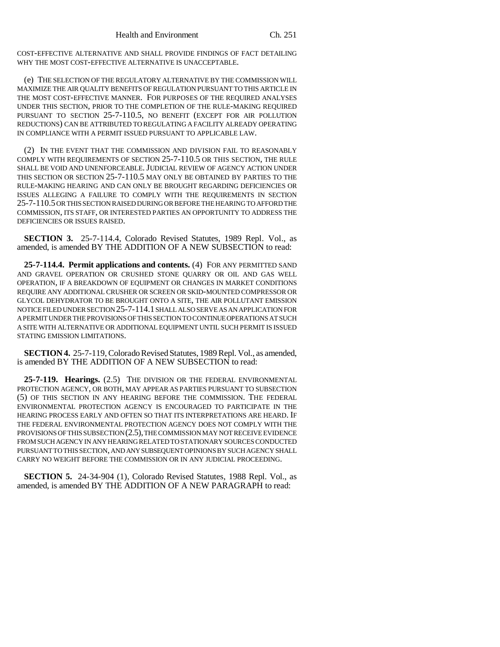COST-EFFECTIVE ALTERNATIVE AND SHALL PROVIDE FINDINGS OF FACT DETAILING WHY THE MOST COST-EFFECTIVE ALTERNATIVE IS UNACCEPTABLE.

(e) THE SELECTION OF THE REGULATORY ALTERNATIVE BY THE COMMISSION WILL MAXIMIZE THE AIR QUALITY BENEFITS OF REGULATION PURSUANT TO THIS ARTICLE IN THE MOST COST-EFFECTIVE MANNER. FOR PURPOSES OF THE REQUIRED ANALYSES UNDER THIS SECTION, PRIOR TO THE COMPLETION OF THE RULE-MAKING REQUIRED PURSUANT TO SECTION 25-7-110.5, NO BENEFIT (EXCEPT FOR AIR POLLUTION REDUCTIONS) CAN BE ATTRIBUTED TO REGULATING A FACILITY ALREADY OPERATING IN COMPLIANCE WITH A PERMIT ISSUED PURSUANT TO APPLICABLE LAW.

(2) IN THE EVENT THAT THE COMMISSION AND DIVISION FAIL TO REASONABLY COMPLY WITH REQUIREMENTS OF SECTION 25-7-110.5 OR THIS SECTION, THE RULE SHALL BE VOID AND UNENFORCEABLE.JUDICIAL REVIEW OF AGENCY ACTION UNDER THIS SECTION OR SECTION 25-7-110.5 MAY ONLY BE OBTAINED BY PARTIES TO THE RULE-MAKING HEARING AND CAN ONLY BE BROUGHT REGARDING DEFICIENCIES OR ISSUES ALLEGING A FAILURE TO COMPLY WITH THE REQUIREMENTS IN SECTION 25-7-110.5 OR THIS SECTION RAISED DURING OR BEFORE THE HEARING TO AFFORD THE COMMISSION, ITS STAFF, OR INTERESTED PARTIES AN OPPORTUNITY TO ADDRESS THE DEFICIENCIES OR ISSUES RAISED.

**SECTION 3.** 25-7-114.4, Colorado Revised Statutes, 1989 Repl. Vol., as amended, is amended BY THE ADDITION OF A NEW SUBSECTION to read:

**25-7-114.4. Permit applications and contents.** (4) FOR ANY PERMITTED SAND AND GRAVEL OPERATION OR CRUSHED STONE QUARRY OR OIL AND GAS WELL OPERATION, IF A BREAKDOWN OF EQUIPMENT OR CHANGES IN MARKET CONDITIONS REQUIRE ANY ADDITIONAL CRUSHER OR SCREEN OR SKID-MOUNTED COMPRESSOR OR GLYCOL DEHYDRATOR TO BE BROUGHT ONTO A SITE, THE AIR POLLUTANT EMISSION NOTICE FILED UNDER SECTION 25-7-114.1 SHALL ALSO SERVE AS AN APPLICATION FOR A PERMIT UNDER THE PROVISIONS OF THIS SECTION TO CONTINUE OPERATIONS AT SUCH A SITE WITH ALTERNATIVE OR ADDITIONAL EQUIPMENT UNTIL SUCH PERMIT IS ISSUED STATING EMISSION LIMITATIONS.

**SECTION 4.** 25-7-119, Colorado Revised Statutes, 1989 Repl. Vol., as amended, is amended BY THE ADDITION OF A NEW SUBSECTION to read:

**25-7-119. Hearings.** (2.5) THE DIVISION OR THE FEDERAL ENVIRONMENTAL PROTECTION AGENCY, OR BOTH, MAY APPEAR AS PARTIES PURSUANT TO SUBSECTION (5) OF THIS SECTION IN ANY HEARING BEFORE THE COMMISSION. THE FEDERAL ENVIRONMENTAL PROTECTION AGENCY IS ENCOURAGED TO PARTICIPATE IN THE HEARING PROCESS EARLY AND OFTEN SO THAT ITS INTERPRETATIONS ARE HEARD. IF THE FEDERAL ENVIRONMENTAL PROTECTION AGENCY DOES NOT COMPLY WITH THE PROVISIONS OF THIS SUBSECTION (2.5), THE COMMISSION MAY NOT RECEIVE EVIDENCE FROM SUCH AGENCY IN ANY HEARING RELATED TO STATIONARY SOURCES CONDUCTED PURSUANT TO THIS SECTION, AND ANY SUBSEQUENT OPINIONS BY SUCH AGENCY SHALL CARRY NO WEIGHT BEFORE THE COMMISSION OR IN ANY JUDICIAL PROCEEDING.

**SECTION 5.** 24-34-904 (1), Colorado Revised Statutes, 1988 Repl. Vol., as amended, is amended BY THE ADDITION OF A NEW PARAGRAPH to read: